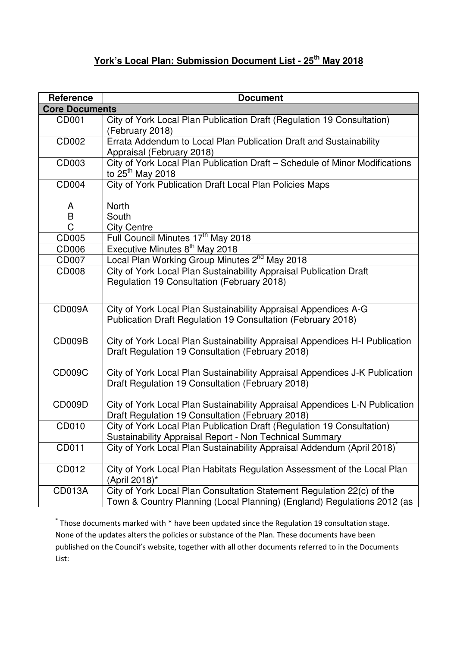## **York's Local Plan: Submission Document List - 25th May 2018**

| <b>Reference</b>      | <b>Document</b>                                                                                                                                   |
|-----------------------|---------------------------------------------------------------------------------------------------------------------------------------------------|
| <b>Core Documents</b> |                                                                                                                                                   |
| CD001                 | City of York Local Plan Publication Draft (Regulation 19 Consultation)<br>(February 2018)                                                         |
| CD002                 | Errata Addendum to Local Plan Publication Draft and Sustainability<br>Appraisal (February 2018)                                                   |
| CD003                 | City of York Local Plan Publication Draft - Schedule of Minor Modifications<br>to 25 <sup>th</sup> May 2018                                       |
| <b>CD004</b>          | City of York Publication Draft Local Plan Policies Maps                                                                                           |
| A                     | <b>North</b>                                                                                                                                      |
| B                     | South                                                                                                                                             |
| Ć                     | <b>City Centre</b>                                                                                                                                |
| CD005                 | Full Council Minutes 17 <sup>th</sup> May 2018                                                                                                    |
| CD006                 | Executive Minutes 8 <sup>th</sup> May 2018                                                                                                        |
| CD007                 | Local Plan Working Group Minutes 2 <sup>nd</sup> May 2018                                                                                         |
| <b>CD008</b>          | City of York Local Plan Sustainability Appraisal Publication Draft                                                                                |
|                       | Regulation 19 Consultation (February 2018)                                                                                                        |
| <b>CD009A</b>         | City of York Local Plan Sustainability Appraisal Appendices A-G<br>Publication Draft Regulation 19 Consultation (February 2018)                   |
| CD009B                | City of York Local Plan Sustainability Appraisal Appendices H-I Publication<br>Draft Regulation 19 Consultation (February 2018)                   |
| <b>CD009C</b>         | City of York Local Plan Sustainability Appraisal Appendices J-K Publication<br>Draft Regulation 19 Consultation (February 2018)                   |
| <b>CD009D</b>         | City of York Local Plan Sustainability Appraisal Appendices L-N Publication<br>Draft Regulation 19 Consultation (February 2018)                   |
| CD010                 | City of York Local Plan Publication Draft (Regulation 19 Consultation)<br>Sustainability Appraisal Report - Non Technical Summary                 |
| CD011                 | City of York Local Plan Sustainability Appraisal Addendum (April 2018)                                                                            |
| CD012                 | City of York Local Plan Habitats Regulation Assessment of the Local Plan<br>(April 2018)*                                                         |
| <b>CD013A</b>         | City of York Local Plan Consultation Statement Regulation 22(c) of the<br>Town & Country Planning (Local Planning) (England) Regulations 2012 (as |
|                       |                                                                                                                                                   |

<sup>\*</sup> Those documents marked with \* have been updated since the Regulation 19 consultation stage. None of the updates alters the policies or substance of the Plan. These documents have been published on the Council's website, together with all other documents referred to in the Documents List: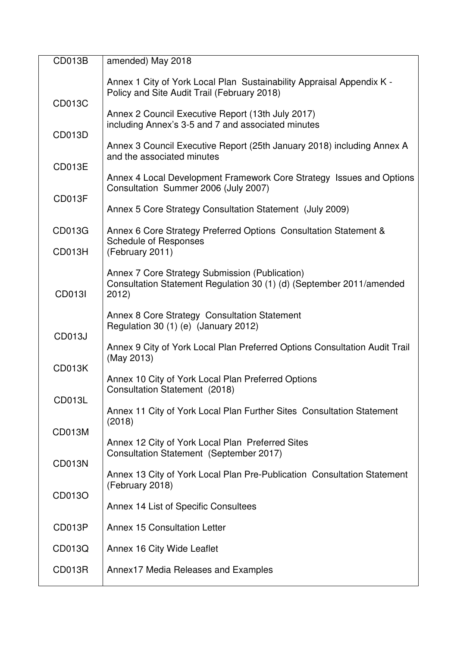| <b>CD013B</b> | amended) May 2018                                                                                                               |
|---------------|---------------------------------------------------------------------------------------------------------------------------------|
| <b>CD013C</b> | Annex 1 City of York Local Plan Sustainability Appraisal Appendix K -<br>Policy and Site Audit Trail (February 2018)            |
|               | Annex 2 Council Executive Report (13th July 2017)<br>including Annex's 3-5 and 7 and associated minutes                         |
| CD013D        | Annex 3 Council Executive Report (25th January 2018) including Annex A                                                          |
| <b>CD013E</b> | and the associated minutes                                                                                                      |
|               | Annex 4 Local Development Framework Core Strategy Issues and Options<br>Consultation Summer 2006 (July 2007)                    |
| CD013F        | Annex 5 Core Strategy Consultation Statement (July 2009)                                                                        |
| CD013G        | Annex 6 Core Strategy Preferred Options Consultation Statement &<br><b>Schedule of Responses</b>                                |
| CD013H        | (February 2011)                                                                                                                 |
| <b>CD013I</b> | Annex 7 Core Strategy Submission (Publication)<br>Consultation Statement Regulation 30 (1) (d) (September 2011/amended<br>2012) |
| <b>CD013J</b> | Annex 8 Core Strategy Consultation Statement<br>Regulation 30 (1) (e) (January 2012)                                            |
|               | Annex 9 City of York Local Plan Preferred Options Consultation Audit Trail<br>(May 2013)                                        |
| <b>CD013K</b> | Annex 10 City of York Local Plan Preferred Options<br>Consultation Statement (2018)                                             |
| CD013L        | Annex 11 City of York Local Plan Further Sites Consultation Statement                                                           |
| CD013M        | (2018)<br>Annex 12 City of York Local Plan Preferred Sites                                                                      |
| CD013N        | Consultation Statement (September 2017)                                                                                         |
|               | Annex 13 City of York Local Plan Pre-Publication Consultation Statement<br>(February 2018)                                      |
| CD013O        | Annex 14 List of Specific Consultees                                                                                            |
| CD013P        | <b>Annex 15 Consultation Letter</b>                                                                                             |
| CD013Q        | Annex 16 City Wide Leaflet                                                                                                      |
| CD013R        | Annex17 Media Releases and Examples                                                                                             |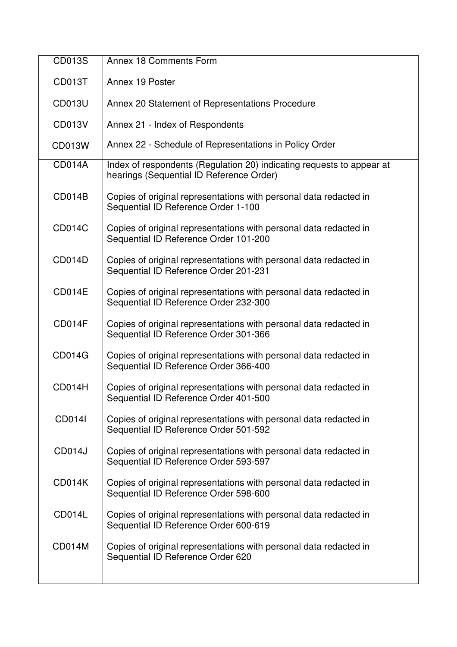| <b>CD013S</b> | Annex 18 Comments Form                                                                                            |
|---------------|-------------------------------------------------------------------------------------------------------------------|
|               |                                                                                                                   |
| CD013T        | Annex 19 Poster                                                                                                   |
| <b>CD013U</b> | Annex 20 Statement of Representations Procedure                                                                   |
| <b>CD013V</b> | Annex 21 - Index of Respondents                                                                                   |
| <b>CD013W</b> | Annex 22 - Schedule of Representations in Policy Order                                                            |
| <b>CD014A</b> | Index of respondents (Regulation 20) indicating requests to appear at<br>hearings (Sequential ID Reference Order) |
| <b>CD014B</b> | Copies of original representations with personal data redacted in<br>Sequential ID Reference Order 1-100          |
| <b>CD014C</b> | Copies of original representations with personal data redacted in<br>Sequential ID Reference Order 101-200        |
| CD014D        | Copies of original representations with personal data redacted in<br>Sequential ID Reference Order 201-231        |
| <b>CD014E</b> | Copies of original representations with personal data redacted in<br>Sequential ID Reference Order 232-300        |
| CD014F        | Copies of original representations with personal data redacted in<br>Sequential ID Reference Order 301-366        |
| <b>CD014G</b> | Copies of original representations with personal data redacted in<br>Sequential ID Reference Order 366-400        |
| CD014H        | Copies of original representations with personal data redacted in<br>Sequential ID Reference Order 401-500        |
| <b>CD014I</b> | Copies of original representations with personal data redacted in<br>Sequential ID Reference Order 501-592        |
| <b>CD014J</b> | Copies of original representations with personal data redacted in<br>Sequential ID Reference Order 593-597        |
| CD014K        | Copies of original representations with personal data redacted in<br>Sequential ID Reference Order 598-600        |
| <b>CD014L</b> | Copies of original representations with personal data redacted in<br>Sequential ID Reference Order 600-619        |
| <b>CD014M</b> | Copies of original representations with personal data redacted in<br>Sequential ID Reference Order 620            |
|               |                                                                                                                   |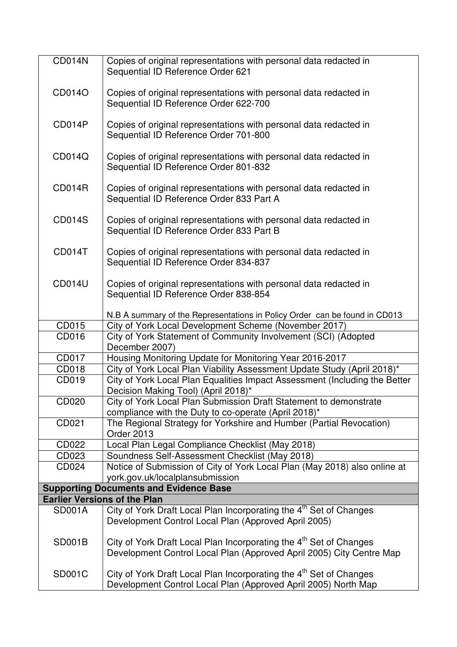| <b>CD014N</b> | Copies of original representations with personal data redacted in<br>Sequential ID Reference Order 621                                           |
|---------------|--------------------------------------------------------------------------------------------------------------------------------------------------|
|               |                                                                                                                                                  |
| CD014O        | Copies of original representations with personal data redacted in<br>Sequential ID Reference Order 622-700                                       |
| CD014P        | Copies of original representations with personal data redacted in<br>Sequential ID Reference Order 701-800                                       |
| CD014Q        | Copies of original representations with personal data redacted in<br>Sequential ID Reference Order 801-832                                       |
| <b>CD014R</b> | Copies of original representations with personal data redacted in<br>Sequential ID Reference Order 833 Part A                                    |
| <b>CD014S</b> | Copies of original representations with personal data redacted in<br>Sequential ID Reference Order 833 Part B                                    |
| CD014T        | Copies of original representations with personal data redacted in<br>Sequential ID Reference Order 834-837                                       |
| <b>CD014U</b> | Copies of original representations with personal data redacted in<br>Sequential ID Reference Order 838-854                                       |
|               | N.B A summary of the Representations in Policy Order can be found in CD013                                                                       |
| CD015         | City of York Local Development Scheme (November 2017)                                                                                            |
| CD016         | City of York Statement of Community Involvement (SCI) (Adopted<br>December 2007)                                                                 |
| CD017         | Housing Monitoring Update for Monitoring Year 2016-2017                                                                                          |
| CD018         | City of York Local Plan Viability Assessment Update Study (April 2018)*                                                                          |
| CD019         | City of York Local Plan Equalities Impact Assessment (Including the Better<br>Decision Making Tool) (April 2018)*                                |
| CD020         | City of York Local Plan Submission Draft Statement to demonstrate<br>compliance with the Duty to co-operate (April 2018)*                        |
| CD021         | The Regional Strategy for Yorkshire and Humber (Partial Revocation)<br>Order 2013                                                                |
| CD022         | Local Plan Legal Compliance Checklist (May 2018)                                                                                                 |
| CD023         | Soundness Self-Assessment Checklist (May 2018)                                                                                                   |
| CD024         | Notice of Submission of City of York Local Plan (May 2018) also online at<br>york.gov.uk/localplansubmission                                     |
|               | <b>Supporting Documents and Evidence Base</b>                                                                                                    |
|               | <b>Earlier Versions of the Plan</b>                                                                                                              |
| <b>SD001A</b> | City of York Draft Local Plan Incorporating the 4 <sup>th</sup> Set of Changes                                                                   |
|               | Development Control Local Plan (Approved April 2005)                                                                                             |
| <b>SD001B</b> | City of York Draft Local Plan Incorporating the 4 <sup>th</sup> Set of Changes                                                                   |
|               | Development Control Local Plan (Approved April 2005) City Centre Map                                                                             |
| <b>SD001C</b> | City of York Draft Local Plan Incorporating the 4 <sup>th</sup> Set of Changes<br>Development Control Local Plan (Approved April 2005) North Map |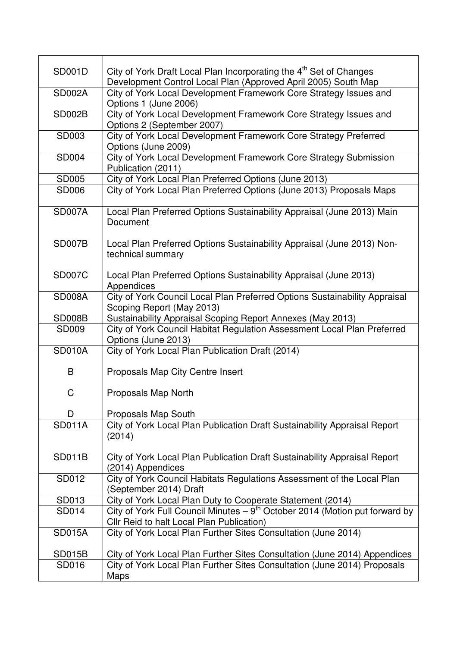| <b>SD001D</b> | City of York Draft Local Plan Incorporating the 4 <sup>th</sup> Set of Changes<br>Development Control Local Plan (Approved April 2005) South Map |
|---------------|--------------------------------------------------------------------------------------------------------------------------------------------------|
| <b>SD002A</b> | City of York Local Development Framework Core Strategy Issues and                                                                                |
| <b>SD002B</b> | Options 1 (June 2006)<br>City of York Local Development Framework Core Strategy Issues and<br>Options 2 (September 2007)                         |
| SD003         | City of York Local Development Framework Core Strategy Preferred<br>Options (June 2009)                                                          |
| <b>SD004</b>  | City of York Local Development Framework Core Strategy Submission<br>Publication (2011)                                                          |
| SD005         | City of York Local Plan Preferred Options (June 2013)                                                                                            |
| <b>SD006</b>  | City of York Local Plan Preferred Options (June 2013) Proposals Maps                                                                             |
| <b>SD007A</b> | Local Plan Preferred Options Sustainability Appraisal (June 2013) Main<br>Document                                                               |
| SD007B        | Local Plan Preferred Options Sustainability Appraisal (June 2013) Non-<br>technical summary                                                      |
| <b>SD007C</b> | Local Plan Preferred Options Sustainability Appraisal (June 2013)<br>Appendices                                                                  |
| <b>SD008A</b> | City of York Council Local Plan Preferred Options Sustainability Appraisal<br>Scoping Report (May 2013)                                          |
| SD008B        | Sustainability Appraisal Scoping Report Annexes (May 2013)                                                                                       |
| <b>SD009</b>  | City of York Council Habitat Regulation Assessment Local Plan Preferred<br>Options (June 2013)                                                   |
| <b>SD010A</b> | City of York Local Plan Publication Draft (2014)                                                                                                 |
| B             | Proposals Map City Centre Insert                                                                                                                 |
| C             | Proposals Map North                                                                                                                              |
| D             | Proposals Map South                                                                                                                              |
| <b>SD011A</b> | City of York Local Plan Publication Draft Sustainability Appraisal Report<br>(2014)                                                              |
| <b>SD011B</b> | City of York Local Plan Publication Draft Sustainability Appraisal Report<br>(2014) Appendices                                                   |
| SD012         | City of York Council Habitats Regulations Assessment of the Local Plan<br>(September 2014) Draft                                                 |
| SD013         | City of York Local Plan Duty to Cooperate Statement (2014)                                                                                       |
| SD014         | City of York Full Council Minutes $-9^{th}$ October 2014 (Motion put forward by<br>Cllr Reid to halt Local Plan Publication)                     |
| <b>SD015A</b> | City of York Local Plan Further Sites Consultation (June 2014)                                                                                   |
| <b>SD015B</b> | City of York Local Plan Further Sites Consultation (June 2014) Appendices                                                                        |
| SD016         | City of York Local Plan Further Sites Consultation (June 2014) Proposals<br>Maps                                                                 |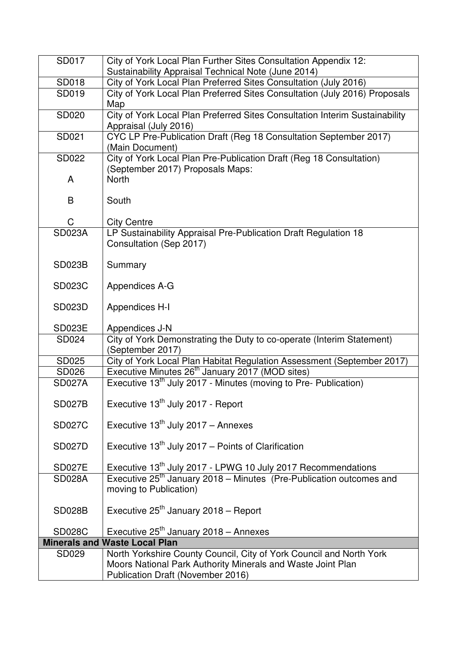| SD017         | City of York Local Plan Further Sites Consultation Appendix 12:                            |
|---------------|--------------------------------------------------------------------------------------------|
|               | Sustainability Appraisal Technical Note (June 2014)                                        |
| SD018         | City of York Local Plan Preferred Sites Consultation (July 2016)                           |
| SD019         | City of York Local Plan Preferred Sites Consultation (July 2016) Proposals                 |
|               | Map                                                                                        |
| SD020         | City of York Local Plan Preferred Sites Consultation Interim Sustainability                |
| SD021         | Appraisal (July 2016)<br>CYC LP Pre-Publication Draft (Reg 18 Consultation September 2017) |
|               | (Main Document)                                                                            |
| SD022         | City of York Local Plan Pre-Publication Draft (Reg 18 Consultation)                        |
|               | (September 2017) Proposals Maps:                                                           |
| A             | <b>North</b>                                                                               |
|               |                                                                                            |
| B             | South                                                                                      |
|               |                                                                                            |
| С             | <b>City Centre</b>                                                                         |
| <b>SD023A</b> | LP Sustainability Appraisal Pre-Publication Draft Regulation 18                            |
|               | Consultation (Sep 2017)                                                                    |
| <b>SD023B</b> | Summary                                                                                    |
|               |                                                                                            |
| <b>SD023C</b> | Appendices A-G                                                                             |
|               |                                                                                            |
| <b>SD023D</b> | Appendices H-I                                                                             |
|               |                                                                                            |
| <b>SD023E</b> | Appendices J-N                                                                             |
| SD024         | City of York Demonstrating the Duty to co-operate (Interim Statement)<br>(September 2017)  |
| SD025         | City of York Local Plan Habitat Regulation Assessment (September 2017)                     |
| <b>SD026</b>  | Executive Minutes 26 <sup>th</sup> January 2017 (MOD sites)                                |
| <b>SD027A</b> | Executive 13 <sup>th</sup> July 2017 - Minutes (moving to Pre- Publication)                |
|               |                                                                                            |
| <b>SD027B</b> | Executive 13 <sup>th</sup> July 2017 - Report                                              |
|               |                                                                                            |
| <b>SD027C</b> | Executive $13^{th}$ July 2017 - Annexes                                                    |
|               |                                                                                            |
| <b>SD027D</b> | Executive $13th$ July 2017 – Points of Clarification                                       |
| <b>SD027E</b> | Executive 13 <sup>th</sup> July 2017 - LPWG 10 July 2017 Recommendations                   |
| <b>SD028A</b> | Executive 25 <sup>th</sup> January 2018 – Minutes (Pre-Publication outcomes and            |
|               | moving to Publication)                                                                     |
|               |                                                                                            |
| <b>SD028B</b> | Executive $25th$ January 2018 – Report                                                     |
|               |                                                                                            |
| <b>SD028C</b> | Executive $25th$ January 2018 – Annexes                                                    |
|               | <b>Minerals and Waste Local Plan</b>                                                       |
| SD029         | North Yorkshire County Council, City of York Council and North York                        |
|               | Moors National Park Authority Minerals and Waste Joint Plan                                |
|               | Publication Draft (November 2016)                                                          |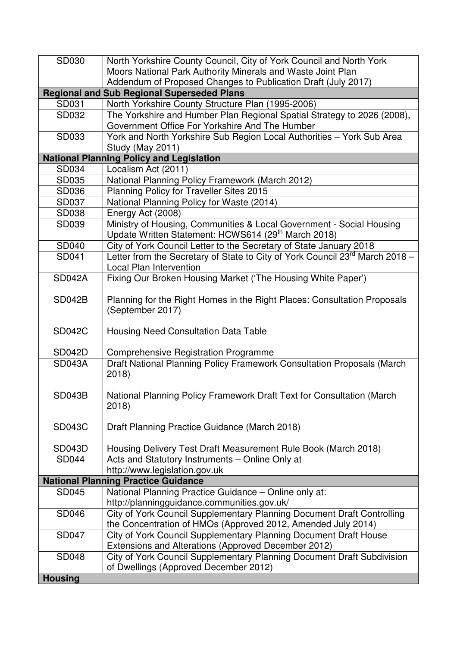| SD030                                      | North Yorkshire County Council, City of York Council and North York                       |
|--------------------------------------------|-------------------------------------------------------------------------------------------|
|                                            | Moors National Park Authority Minerals and Waste Joint Plan                               |
|                                            | Addendum of Proposed Changes to Publication Draft (July 2017)                             |
|                                            | <b>Regional and Sub Regional Superseded Plans</b>                                         |
| SD031                                      | North Yorkshire County Structure Plan (1995-2006)                                         |
| SD032                                      | The Yorkshire and Humber Plan Regional Spatial Strategy to 2026 (2008),                   |
|                                            | Government Office For Yorkshire And The Humber                                            |
| SD033                                      | York and North Yorkshire Sub Region Local Authorities - York Sub Area<br>Study (May 2011) |
|                                            | <b>National Planning Policy and Legislation</b>                                           |
| SD034                                      | Localism Act (2011)                                                                       |
| SD035                                      | National Planning Policy Framework (March 2012)                                           |
| SD036                                      | Planning Policy for Traveller Sites 2015                                                  |
| SD037                                      | National Planning Policy for Waste (2014)                                                 |
| SD038                                      | Energy Act (2008)                                                                         |
| SD039                                      | Ministry of Housing, Communities & Local Government - Social Housing                      |
|                                            | Update Written Statement: HCWS614 (29 <sup>th</sup> March 2018)                           |
| <b>SD040</b>                               | City of York Council Letter to the Secretary of State January 2018                        |
| SD041                                      | Letter from the Secretary of State to City of York Council 23 <sup>rd</sup> March 2018 -  |
|                                            | <b>Local Plan Intervention</b>                                                            |
| <b>SD042A</b>                              | Fixing Our Broken Housing Market ('The Housing White Paper')                              |
|                                            |                                                                                           |
| <b>SD042B</b>                              | Planning for the Right Homes in the Right Places: Consultation Proposals                  |
|                                            | (September 2017)                                                                          |
|                                            |                                                                                           |
| <b>SD042C</b>                              | <b>Housing Need Consultation Data Table</b>                                               |
|                                            |                                                                                           |
| <b>SD042D</b>                              | <b>Comprehensive Registration Programme</b>                                               |
| <b>SD043A</b>                              | Draft National Planning Policy Framework Consultation Proposals (March                    |
|                                            | 2018                                                                                      |
|                                            |                                                                                           |
| <b>SD043B</b>                              | National Planning Policy Framework Draft Text for Consultation (March                     |
|                                            | 2018                                                                                      |
| <b>SD043C</b>                              | Draft Planning Practice Guidance (March 2018)                                             |
|                                            |                                                                                           |
| SD043D                                     | Housing Delivery Test Draft Measurement Rule Book (March 2018)                            |
| <b>SD044</b>                               | Acts and Statutory Instruments - Online Only at                                           |
|                                            | http://www.legislation.gov.uk                                                             |
| <b>National Planning Practice Guidance</b> |                                                                                           |
| SD045                                      | National Planning Practice Guidance - Online only at:                                     |
|                                            | http://planningguidance.communities.gov.uk/                                               |
| <b>SD046</b>                               | City of York Council Supplementary Planning Document Draft Controlling                    |
|                                            | the Concentration of HMOs (Approved 2012, Amended July 2014)                              |
| <b>SD047</b>                               | City of York Council Supplementary Planning Document Draft House                          |
|                                            | Extensions and Alterations (Approved December 2012)                                       |
| <b>SD048</b>                               | City of York Council Supplementary Planning Document Draft Subdivision                    |
|                                            | of Dwellings (Approved December 2012)                                                     |
| <b>Housing</b>                             |                                                                                           |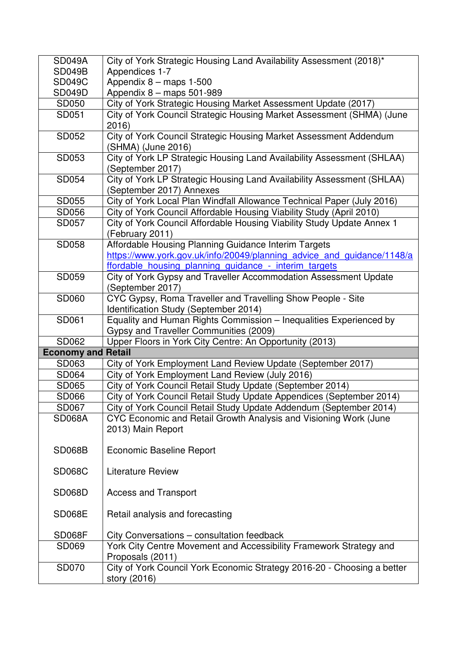| <b>SD049A</b>             | City of York Strategic Housing Land Availability Assessment (2018)*     |
|---------------------------|-------------------------------------------------------------------------|
| <b>SD049B</b>             | Appendices 1-7                                                          |
| <b>SD049C</b>             | Appendix $8 -$ maps 1-500                                               |
| <b>SD049D</b>             | Appendix 8 - maps 501-989                                               |
| SD050                     | City of York Strategic Housing Market Assessment Update (2017)          |
| SD051                     | City of York Council Strategic Housing Market Assessment (SHMA) (June   |
|                           | 2016)                                                                   |
| SD052                     | City of York Council Strategic Housing Market Assessment Addendum       |
|                           | (SHMA) (June 2016)                                                      |
| SD053                     | City of York LP Strategic Housing Land Availability Assessment (SHLAA)  |
|                           | (September 2017)                                                        |
| SD054                     | City of York LP Strategic Housing Land Availability Assessment (SHLAA)  |
|                           | (September 2017) Annexes                                                |
| SD055                     | City of York Local Plan Windfall Allowance Technical Paper (July 2016)  |
| <b>SD056</b>              | City of York Council Affordable Housing Viability Study (April 2010)    |
| SD057                     | City of York Council Affordable Housing Viability Study Update Annex 1  |
|                           | (February 2011)                                                         |
| <b>SD058</b>              | Affordable Housing Planning Guidance Interim Targets                    |
|                           | https://www.york.gov.uk/info/20049/planning advice and guidance/1148/a  |
|                           | ffordable housing planning quidance - interim targets                   |
| SD059                     | City of York Gypsy and Traveller Accommodation Assessment Update        |
|                           | (September 2017)                                                        |
| SD060                     | CYC Gypsy, Roma Traveller and Travelling Show People - Site             |
|                           | Identification Study (September 2014)                                   |
| SD061                     | Equality and Human Rights Commission - Inequalities Experienced by      |
|                           | Gypsy and Traveller Communities (2009)                                  |
| SD062                     | Upper Floors in York City Centre: An Opportunity (2013)                 |
| <b>Economy and Retail</b> |                                                                         |
| SD063                     | City of York Employment Land Review Update (September 2017)             |
| <b>SD064</b>              | City of York Employment Land Review (July 2016)                         |
| <b>SD065</b>              | City of York Council Retail Study Update (September 2014)               |
| <b>SD066</b>              | City of York Council Retail Study Update Appendices (September 2014)    |
| <b>SD067</b>              | City of York Council Retail Study Update Addendum (September 2014)      |
| <b>SD068A</b>             | CYC Economic and Retail Growth Analysis and Visioning Work (June        |
|                           | 2013) Main Report                                                       |
|                           |                                                                         |
| <b>SD068B</b>             | <b>Economic Baseline Report</b>                                         |
|                           |                                                                         |
| <b>SD068C</b>             | <b>Literature Review</b>                                                |
|                           |                                                                         |
| <b>SD068D</b>             | <b>Access and Transport</b>                                             |
|                           |                                                                         |
| <b>SD068E</b>             | Retail analysis and forecasting                                         |
|                           |                                                                         |
| <b>SD068F</b>             | City Conversations - consultation feedback                              |
| SD069                     | York City Centre Movement and Accessibility Framework Strategy and      |
|                           | Proposals (2011)                                                        |
| <b>SD070</b>              | City of York Council York Economic Strategy 2016-20 - Choosing a better |
|                           | story (2016)                                                            |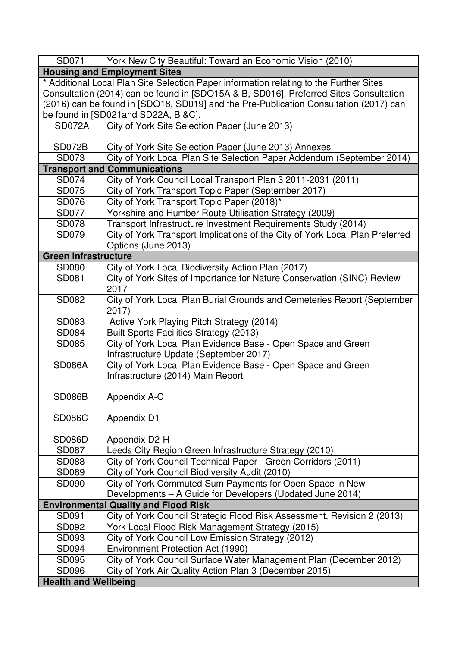| SD071                                                                                 | York New City Beautiful: Toward an Economic Vision (2010)                              |
|---------------------------------------------------------------------------------------|----------------------------------------------------------------------------------------|
|                                                                                       | <b>Housing and Employment Sites</b>                                                    |
|                                                                                       | * Additional Local Plan Site Selection Paper information relating to the Further Sites |
| Consultation (2014) can be found in [SDO15A & B, SD016], Preferred Sites Consultation |                                                                                        |
| (2016) can be found in [SDO18, SD019] and the Pre-Publication Consultation (2017) can |                                                                                        |
|                                                                                       | be found in [SD021and SD22A, B &C].                                                    |
| SD072A                                                                                | City of York Site Selection Paper (June 2013)                                          |
|                                                                                       |                                                                                        |
| <b>SD072B</b>                                                                         | City of York Site Selection Paper (June 2013) Annexes                                  |
| SD073                                                                                 | City of York Local Plan Site Selection Paper Addendum (September 2014)                 |
|                                                                                       | <b>Transport and Communications</b>                                                    |
| SD074                                                                                 | City of York Council Local Transport Plan 3 2011-2031 (2011)                           |
| SD075                                                                                 | City of York Transport Topic Paper (September 2017)                                    |
| SD076                                                                                 | City of York Transport Topic Paper (2018)*                                             |
| <b>SD077</b>                                                                          | Yorkshire and Humber Route Utilisation Strategy (2009)                                 |
| <b>SD078</b>                                                                          | Transport Infrastructure Investment Requirements Study (2014)                          |
| SD079                                                                                 | City of York Transport Implications of the City of York Local Plan Preferred           |
|                                                                                       | Options (June 2013)                                                                    |
| <b>Green Infrastructure</b>                                                           |                                                                                        |
| <b>SD080</b>                                                                          | City of York Local Biodiversity Action Plan (2017)                                     |
| SD081                                                                                 | City of York Sites of Importance for Nature Conservation (SINC) Review<br>2017         |
| SD082                                                                                 | City of York Local Plan Burial Grounds and Cemeteries Report (September<br>2017)       |
| SD083                                                                                 | Active York Playing Pitch Strategy (2014)                                              |
| SD084                                                                                 | <b>Built Sports Facilities Strategy (2013)</b>                                         |
| <b>SD085</b>                                                                          | City of York Local Plan Evidence Base - Open Space and Green                           |
|                                                                                       | Infrastructure Update (September 2017)                                                 |
| <b>SD086A</b>                                                                         | City of York Local Plan Evidence Base - Open Space and Green                           |
|                                                                                       | Infrastructure (2014) Main Report                                                      |
|                                                                                       |                                                                                        |
| <b>SD086B</b>                                                                         | Appendix A-C                                                                           |
|                                                                                       |                                                                                        |
| <b>SD086C</b>                                                                         | <b>Appendix D1</b>                                                                     |
|                                                                                       |                                                                                        |
| <b>SD086D</b>                                                                         | Appendix D2-H                                                                          |
| SD087                                                                                 | Leeds City Region Green Infrastructure Strategy (2010)                                 |
| <b>SD088</b>                                                                          | City of York Council Technical Paper - Green Corridors (2011)                          |
| SD089                                                                                 | City of York Council Biodiversity Audit (2010)                                         |
| SD090                                                                                 | City of York Commuted Sum Payments for Open Space in New                               |
|                                                                                       | Developments - A Guide for Developers (Updated June 2014)                              |
|                                                                                       | <b>Environmental Quality and Flood Risk</b>                                            |
| SD091                                                                                 | City of York Council Strategic Flood Risk Assessment, Revision 2 (2013)                |
| SD092                                                                                 | York Local Flood Risk Management Strategy (2015)                                       |
| SD093                                                                                 | City of York Council Low Emission Strategy (2012)                                      |
| SD094                                                                                 | Environment Protection Act (1990)                                                      |
| SD095                                                                                 | City of York Council Surface Water Management Plan (December 2012)                     |
| <b>SD096</b>                                                                          | City of York Air Quality Action Plan 3 (December 2015)                                 |
| <b>Health and Wellbeing</b>                                                           |                                                                                        |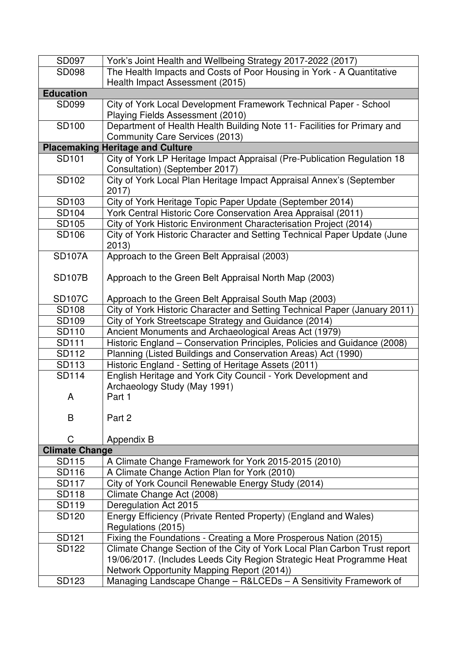| SD097                 | York's Joint Health and Wellbeing Strategy 2017-2022 (2017)                                                         |
|-----------------------|---------------------------------------------------------------------------------------------------------------------|
| <b>SD098</b>          | The Health Impacts and Costs of Poor Housing in York - A Quantitative                                               |
|                       | Health Impact Assessment (2015)                                                                                     |
| <b>Education</b>      |                                                                                                                     |
| <b>SD099</b>          | City of York Local Development Framework Technical Paper - School<br>Playing Fields Assessment (2010)               |
| <b>SD100</b>          | Department of Health Health Building Note 11- Facilities for Primary and<br><b>Community Care Services (2013)</b>   |
|                       | <b>Placemaking Heritage and Culture</b>                                                                             |
| <b>SD101</b>          | City of York LP Heritage Impact Appraisal (Pre-Publication Regulation 18<br>Consultation) (September 2017)          |
| SD102                 | City of York Local Plan Heritage Impact Appraisal Annex's (September<br>2017                                        |
| SD103                 | City of York Heritage Topic Paper Update (September 2014)                                                           |
| SD104                 | York Central Historic Core Conservation Area Appraisal (2011)                                                       |
| SD105                 | City of York Historic Environment Characterisation Project (2014)                                                   |
| <b>SD106</b>          | City of York Historic Character and Setting Technical Paper Update (June<br>2013)                                   |
| <b>SD107A</b>         | Approach to the Green Belt Appraisal (2003)                                                                         |
| <b>SD107B</b>         | Approach to the Green Belt Appraisal North Map (2003)                                                               |
| <b>SD107C</b>         | Approach to the Green Belt Appraisal South Map (2003)                                                               |
| <b>SD108</b>          | City of York Historic Character and Setting Technical Paper (January 2011)                                          |
| <b>SD109</b>          | City of York Streetscape Strategy and Guidance (2014)                                                               |
| SD110                 | Ancient Monuments and Archaeological Areas Act (1979)                                                               |
| <b>SD111</b>          | Historic England - Conservation Principles, Policies and Guidance (2008)                                            |
| SD112                 | Planning (Listed Buildings and Conservation Areas) Act (1990)                                                       |
| SD113                 | Historic England - Setting of Heritage Assets (2011)                                                                |
| <b>SD114</b>          | English Heritage and York City Council - York Development and<br>Archaeology Study (May 1991)                       |
| A                     | Part 1                                                                                                              |
| B                     | Part 2                                                                                                              |
| C                     | Appendix B                                                                                                          |
| <b>Climate Change</b> |                                                                                                                     |
| <b>SD115</b>          | A Climate Change Framework for York 2015-2015 (2010)                                                                |
| <b>SD116</b>          | A Climate Change Action Plan for York (2010)                                                                        |
| <b>SD117</b>          | City of York Council Renewable Energy Study (2014)                                                                  |
| <b>SD118</b>          | Climate Change Act (2008)                                                                                           |
| SD119                 | Deregulation Act 2015                                                                                               |
| <b>SD120</b>          | Energy Efficiency (Private Rented Property) (England and Wales)<br>Regulations (2015)                               |
| <b>SD121</b>          | Fixing the Foundations - Creating a More Prosperous Nation (2015)                                                   |
| <b>SD122</b>          | Climate Change Section of the City of York Local Plan Carbon Trust report                                           |
|                       | 19/06/2017. (Includes Leeds City Region Strategic Heat Programme Heat<br>Network Opportunity Mapping Report (2014)) |
| SD123                 | Managing Landscape Change - R&LCEDs - A Sensitivity Framework of                                                    |
|                       |                                                                                                                     |